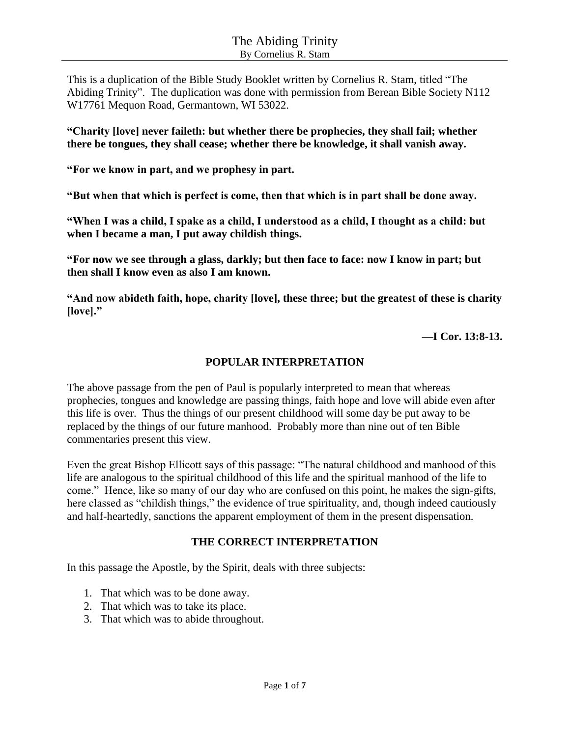This is a duplication of the Bible Study Booklet written by Cornelius R. Stam, titled "The Abiding Trinity". The duplication was done with permission from Berean Bible Society N112 W17761 Mequon Road, Germantown, WI 53022.

**"Charity [love] never faileth: but whether there be prophecies, they shall fail; whether there be tongues, they shall cease; whether there be knowledge, it shall vanish away.** 

**"For we know in part, and we prophesy in part.**

**"But when that which is perfect is come, then that which is in part shall be done away.** 

**"When I was a child, I spake as a child, I understood as a child, I thought as a child: but when I became a man, I put away childish things.** 

**"For now we see through a glass, darkly; but then face to face: now I know in part; but then shall I know even as also I am known.** 

**"And now abideth faith, hope, charity [love], these three; but the greatest of these is charity [love]."**

**—I Cor. 13:8-13.**

#### **POPULAR INTERPRETATION**

The above passage from the pen of Paul is popularly interpreted to mean that whereas prophecies, tongues and knowledge are passing things, faith hope and love will abide even after this life is over. Thus the things of our present childhood will some day be put away to be replaced by the things of our future manhood. Probably more than nine out of ten Bible commentaries present this view.

Even the great Bishop Ellicott says of this passage: "The natural childhood and manhood of this life are analogous to the spiritual childhood of this life and the spiritual manhood of the life to come." Hence, like so many of our day who are confused on this point, he makes the sign-gifts, here classed as "childish things," the evidence of true spirituality, and, though indeed cautiously and half-heartedly, sanctions the apparent employment of them in the present dispensation.

## **THE CORRECT INTERPRETATION**

In this passage the Apostle, by the Spirit, deals with three subjects:

- 1. That which was to be done away.
- 2. That which was to take its place.
- 3. That which was to abide throughout.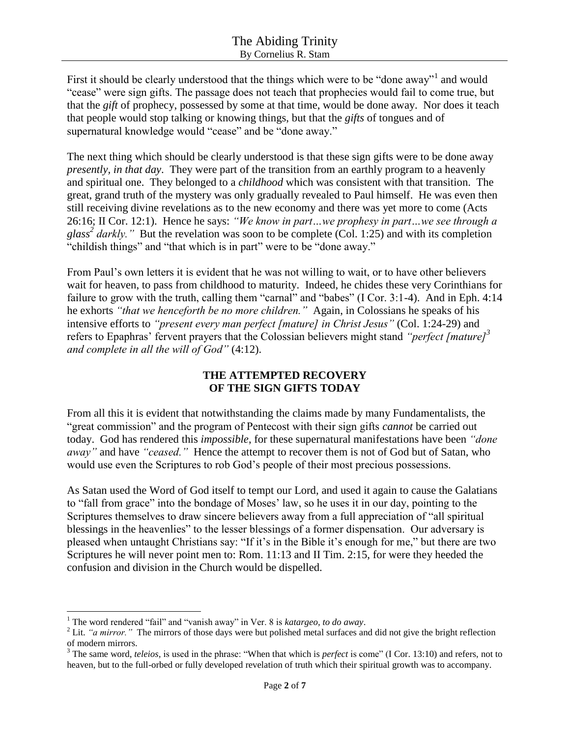First it should be clearly understood that the things which were to be "done away"<sup>1</sup> and would "cease" were sign gifts. The passage does not teach that prophecies would fail to come true, but that the *gift* of prophecy, possessed by some at that time, would be done away. Nor does it teach that people would stop talking or knowing things, but that the *gifts* of tongues and of supernatural knowledge would "cease" and be "done away."

The next thing which should be clearly understood is that these sign gifts were to be done away *presently, in that day*. They were part of the transition from an earthly program to a heavenly and spiritual one. They belonged to a *childhood* which was consistent with that transition. The great, grand truth of the mystery was only gradually revealed to Paul himself. He was even then still receiving divine revelations as to the new economy and there was yet more to come (Acts 26:16; II Cor. 12:1). Hence he says: *"We know in part…we prophesy in part…we see through a*  glass<sup>2</sup> darkly." But the revelation was soon to be complete (Col. 1:25) and with its completion "childish things" and "that which is in part" were to be "done away."

From Paul's own letters it is evident that he was not willing to wait, or to have other believers wait for heaven, to pass from childhood to maturity. Indeed, he chides these very Corinthians for failure to grow with the truth, calling them "carnal" and "babes" (I Cor. 3:1-4). And in Eph. 4:14 he exhorts *"that we henceforth be no more children."* Again, in Colossians he speaks of his intensive efforts to *"present every man perfect [mature] in Christ Jesus"* (Col. 1:24-29) and refers to Epaphras' fervent prayers that the Colossian believers might stand *"perfect [mature]<sup>3</sup> and complete in all the will of God"* (4:12).

## **THE ATTEMPTED RECOVERY OF THE SIGN GIFTS TODAY**

From all this it is evident that notwithstanding the claims made by many Fundamentalists, the "great commission" and the program of Pentecost with their sign gifts *cannot* be carried out today. God has rendered this *impossible*, for these supernatural manifestations have been *"done away"* and have *"ceased."* Hence the attempt to recover them is not of God but of Satan, who would use even the Scriptures to rob God's people of their most precious possessions.

As Satan used the Word of God itself to tempt our Lord, and used it again to cause the Galatians to "fall from grace" into the bondage of Moses' law, so he uses it in our day, pointing to the Scriptures themselves to draw sincere believers away from a full appreciation of "all spiritual blessings in the heavenlies" to the lesser blessings of a former dispensation. Our adversary is pleased when untaught Christians say: "If it's in the Bible it's enough for me," but there are two Scriptures he will never point men to: Rom. 11:13 and II Tim. 2:15, for were they heeded the confusion and division in the Church would be dispelled.

 $\overline{a}$ 

<sup>&</sup>lt;sup>1</sup> The word rendered "fail" and "vanish away" in Ver. 8 is *katargeo, to do away*.

<sup>&</sup>lt;sup>2</sup> Lit. *"a mirror*." The mirrors of those days were but polished metal surfaces and did not give the bright reflection of modern mirrors.

<sup>&</sup>lt;sup>3</sup> The same word, *teleios*, is used in the phrase: "When that which is *perfect* is come" (I Cor. 13:10) and refers, not to heaven, but to the full-orbed or fully developed revelation of truth which their spiritual growth was to accompany.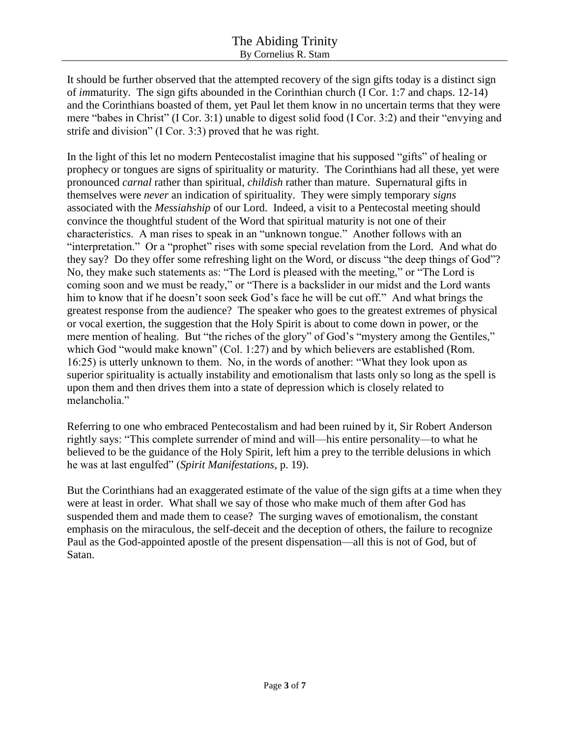It should be further observed that the attempted recovery of the sign gifts today is a distinct sign of *im*maturity. The sign gifts abounded in the Corinthian church (I Cor. 1:7 and chaps. 12-14) and the Corinthians boasted of them, yet Paul let them know in no uncertain terms that they were mere "babes in Christ" (I Cor. 3:1) unable to digest solid food (I Cor. 3:2) and their "envying and strife and division" (I Cor. 3:3) proved that he was right.

In the light of this let no modern Pentecostalist imagine that his supposed "gifts" of healing or prophecy or tongues are signs of spirituality or maturity. The Corinthians had all these, yet were pronounced *carnal* rather than spiritual, *childish* rather than mature. Supernatural gifts in themselves were *never* an indication of spirituality. They were simply temporary *signs* associated with the *Messiahship* of our Lord. Indeed, a visit to a Pentecostal meeting should convince the thoughtful student of the Word that spiritual maturity is not one of their characteristics. A man rises to speak in an "unknown tongue." Another follows with an "interpretation." Or a "prophet" rises with some special revelation from the Lord. And what do they say? Do they offer some refreshing light on the Word, or discuss "the deep things of God"? No, they make such statements as: "The Lord is pleased with the meeting," or "The Lord is coming soon and we must be ready," or "There is a backslider in our midst and the Lord wants him to know that if he doesn't soon seek God's face he will be cut off." And what brings the greatest response from the audience? The speaker who goes to the greatest extremes of physical or vocal exertion, the suggestion that the Holy Spirit is about to come down in power, or the mere mention of healing. But "the riches of the glory" of God's "mystery among the Gentiles," which God "would make known" (Col. 1:27) and by which believers are established (Rom. 16:25) is utterly unknown to them. No, in the words of another: "What they look upon as superior spirituality is actually instability and emotionalism that lasts only so long as the spell is upon them and then drives them into a state of depression which is closely related to melancholia."

Referring to one who embraced Pentecostalism and had been ruined by it, Sir Robert Anderson rightly says: "This complete surrender of mind and will—his entire personality—to what he believed to be the guidance of the Holy Spirit, left him a prey to the terrible delusions in which he was at last engulfed" (*Spirit Manifestations*, p. 19).

But the Corinthians had an exaggerated estimate of the value of the sign gifts at a time when they were at least in order. What shall we say of those who make much of them after God has suspended them and made them to cease? The surging waves of emotionalism, the constant emphasis on the miraculous, the self-deceit and the deception of others, the failure to recognize Paul as the God-appointed apostle of the present dispensation—all this is not of God, but of Satan.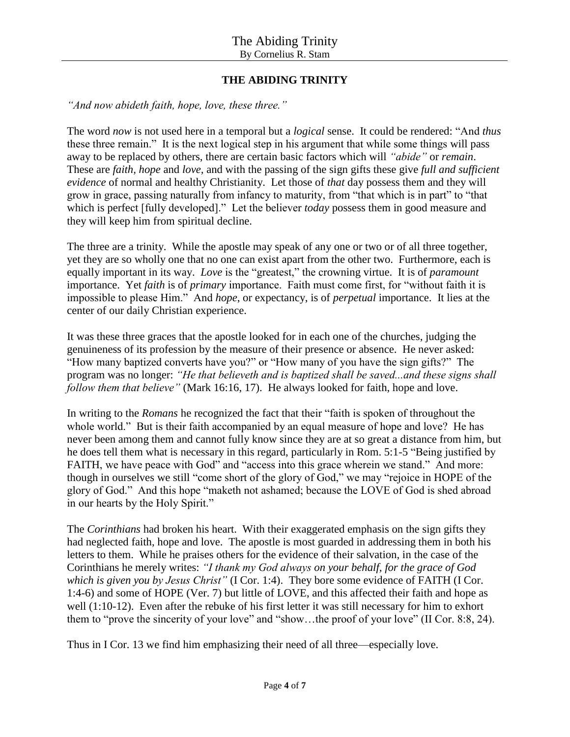# **THE ABIDING TRINITY**

*"And now abideth faith, hope, love, these three."*

The word *now* is not used here in a temporal but a *logical* sense. It could be rendered: "And *thus* these three remain." It is the next logical step in his argument that while some things will pass away to be replaced by others, there are certain basic factors which will *"abide"* or *remain*. These are *faith, hope* and *love,* and with the passing of the sign gifts these give *full and sufficient evidence* of normal and healthy Christianity. Let those of *that* day possess them and they will grow in grace, passing naturally from infancy to maturity, from "that which is in part" to "that which is perfect [fully developed]." Let the believer *today* possess them in good measure and they will keep him from spiritual decline.

The three are a trinity. While the apostle may speak of any one or two or of all three together, yet they are so wholly one that no one can exist apart from the other two. Furthermore, each is equally important in its way. *Love* is the "greatest," the crowning virtue. It is of *paramount* importance. Yet *faith* is of *primary* importance. Faith must come first, for "without faith it is impossible to please Him." And *hope*, or expectancy, is of *perpetual* importance. It lies at the center of our daily Christian experience.

It was these three graces that the apostle looked for in each one of the churches, judging the genuineness of its profession by the measure of their presence or absence. He never asked: "How many baptized converts have you?" or "How many of you have the sign gifts?" The program was no longer: *"He that believeth and is baptized shall be saved...and these signs shall follow them that believe"* (Mark 16:16, 17). He always looked for faith, hope and love.

In writing to the *Romans* he recognized the fact that their "faith is spoken of throughout the whole world." But is their faith accompanied by an equal measure of hope and love? He has never been among them and cannot fully know since they are at so great a distance from him, but he does tell them what is necessary in this regard, particularly in Rom. 5:1-5 "Being justified by FAITH, we have peace with God" and "access into this grace wherein we stand." And more: though in ourselves we still "come short of the glory of God," we may "rejoice in HOPE of the glory of God." And this hope "maketh not ashamed; because the LOVE of God is shed abroad in our hearts by the Holy Spirit."

The *Corinthians* had broken his heart. With their exaggerated emphasis on the sign gifts they had neglected faith, hope and love. The apostle is most guarded in addressing them in both his letters to them. While he praises others for the evidence of their salvation, in the case of the Corinthians he merely writes: *"I thank my God always on your behalf, for the grace of God which is given you by Jesus Christ"* (I Cor. 1:4). They bore some evidence of FAITH (I Cor. 1:4-6) and some of HOPE (Ver. 7) but little of LOVE, and this affected their faith and hope as well (1:10-12). Even after the rebuke of his first letter it was still necessary for him to exhort them to "prove the sincerity of your love" and "show…the proof of your love" (II Cor. 8:8, 24).

Thus in I Cor. 13 we find him emphasizing their need of all three—especially love.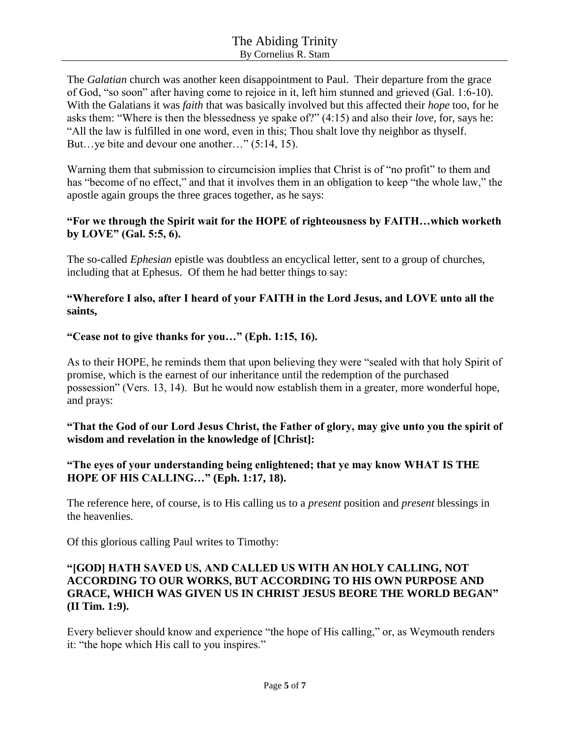The *Galatian* church was another keen disappointment to Paul. Their departure from the grace of God, "so soon" after having come to rejoice in it, left him stunned and grieved (Gal. 1:6-10). With the Galatians it was *faith* that was basically involved but this affected their *hope* too, for he asks them: "Where is then the blessedness ye spake of?" (4:15) and also their *love*, for, says he: "All the law is fulfilled in one word, even in this; Thou shalt love thy neighbor as thyself. But…ye bite and devour one another…" (5:14, 15).

Warning them that submission to circumcision implies that Christ is of "no profit" to them and has "become of no effect," and that it involves them in an obligation to keep "the whole law," the apostle again groups the three graces together, as he says:

## **"For we through the Spirit wait for the HOPE of righteousness by FAITH…which worketh by LOVE" (Gal. 5:5, 6).**

The so-called *Ephesian* epistle was doubtless an encyclical letter, sent to a group of churches, including that at Ephesus. Of them he had better things to say:

## **"Wherefore I also, after I heard of your FAITH in the Lord Jesus, and LOVE unto all the saints,**

## **"Cease not to give thanks for you…" (Eph. 1:15, 16).**

As to their HOPE, he reminds them that upon believing they were "sealed with that holy Spirit of promise, which is the earnest of our inheritance until the redemption of the purchased possession" (Vers. 13, 14). But he would now establish them in a greater, more wonderful hope, and prays:

## **"That the God of our Lord Jesus Christ, the Father of glory, may give unto you the spirit of wisdom and revelation in the knowledge of [Christ]:**

## **"The eyes of your understanding being enlightened; that ye may know WHAT IS THE HOPE OF HIS CALLING…" (Eph. 1:17, 18).**

The reference here, of course, is to His calling us to a *present* position and *present* blessings in the heavenlies.

Of this glorious calling Paul writes to Timothy:

### **"[GOD] HATH SAVED US, AND CALLED US WITH AN HOLY CALLING, NOT ACCORDING TO OUR WORKS, BUT ACCORDING TO HIS OWN PURPOSE AND GRACE, WHICH WAS GIVEN US IN CHRIST JESUS BEORE THE WORLD BEGAN" (II Tim. 1:9).**

Every believer should know and experience "the hope of His calling," or, as Weymouth renders it: "the hope which His call to you inspires."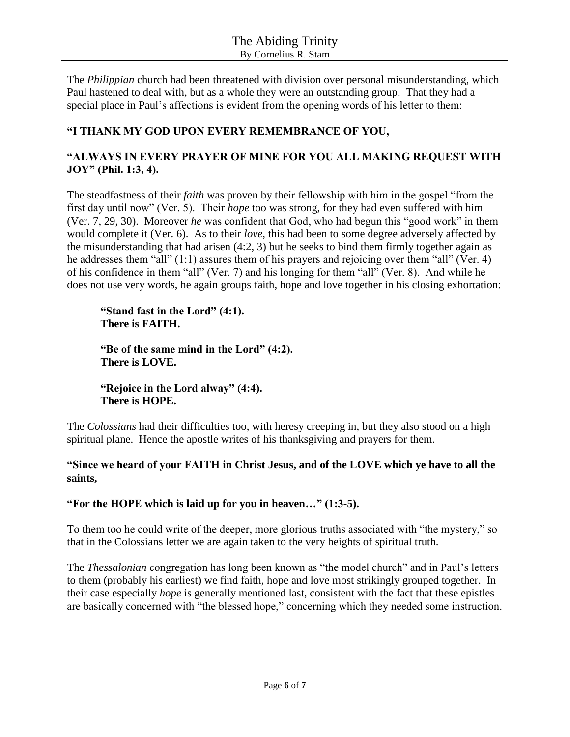The *Philippian* church had been threatened with division over personal misunderstanding, which Paul hastened to deal with, but as a whole they were an outstanding group. That they had a special place in Paul's affections is evident from the opening words of his letter to them:

# **"I THANK MY GOD UPON EVERY REMEMBRANCE OF YOU,**

# **"ALWAYS IN EVERY PRAYER OF MINE FOR YOU ALL MAKING REQUEST WITH JOY" (Phil. 1:3, 4).**

The steadfastness of their *faith* was proven by their fellowship with him in the gospel "from the first day until now" (Ver. 5). Their *hope* too was strong, for they had even suffered with him (Ver. 7, 29, 30). Moreover *he* was confident that God, who had begun this "good work" in them would complete it (Ver. 6). As to their *love*, this had been to some degree adversely affected by the misunderstanding that had arisen (4:2, 3) but he seeks to bind them firmly together again as he addresses them "all" (1:1) assures them of his prayers and rejoicing over them "all" (Ver. 4) of his confidence in them "all" (Ver. 7) and his longing for them "all" (Ver. 8). And while he does not use very words, he again groups faith, hope and love together in his closing exhortation:

**"Stand fast in the Lord" (4:1). There is FAITH.**

**"Be of the same mind in the Lord" (4:2). There is LOVE.**

**"Rejoice in the Lord alway" (4:4). There is HOPE.**

The *Colossians* had their difficulties too, with heresy creeping in, but they also stood on a high spiritual plane. Hence the apostle writes of his thanksgiving and prayers for them.

## **"Since we heard of your FAITH in Christ Jesus, and of the LOVE which ye have to all the saints,**

## **"For the HOPE which is laid up for you in heaven…" (1:3-5).**

To them too he could write of the deeper, more glorious truths associated with "the mystery," so that in the Colossians letter we are again taken to the very heights of spiritual truth.

The *Thessalonian* congregation has long been known as "the model church" and in Paul's letters to them (probably his earliest) we find faith, hope and love most strikingly grouped together. In their case especially *hope* is generally mentioned last, consistent with the fact that these epistles are basically concerned with "the blessed hope," concerning which they needed some instruction.